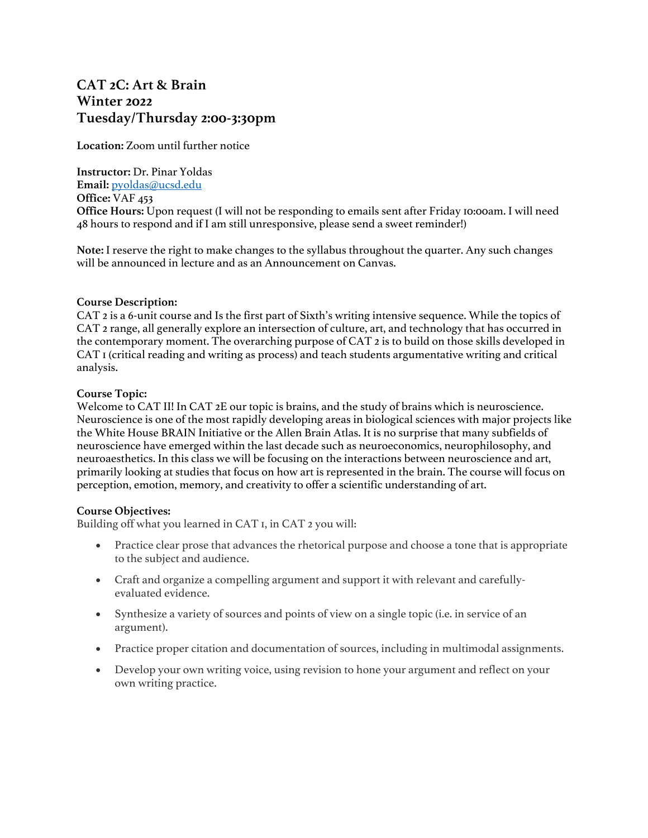# **CAT 2C: Art & Brain Winter 2022 Tuesday/Thursday 2:00-3:30pm**

**Location:** Zoom until further notice

**Instructor:** Dr. Pinar Yoldas **Email:** pyoldas@ucsd.edu **Office:** VAF 453 **Office Hours:** Upon request (I will not be responding to emails sent after Friday 10:00am. I will need 48 hours to respond and if I am still unresponsive, please send a sweet reminder!)

**Note:** I reserve the right to make changes to the syllabus throughout the quarter. Any such changes will be announced in lecture and as an Announcement on Canvas.

#### **Course Description:**

CAT 2 is a 6-unit course and Is the first part of Sixth's writing intensive sequence. While the topics of CAT 2 range, all generally explore an intersection of culture, art, and technology that has occurred in the contemporary moment. The overarching purpose of CAT 2 is to build on those skills developed in CAT 1 (critical reading and writing as process) and teach students argumentative writing and critical analysis.

## **Course Topic:**

Welcome to CAT II! In CAT 2E our topic is brains, and the study of brains which is neuroscience. Neuroscience is one of the most rapidly developing areas in biological sciences with major projects like the White House BRAIN Initiative or the Allen Brain Atlas. It is no surprise that many subfields of neuroscience have emerged within the last decade such as neuroeconomics, neurophilosophy, and neuroaesthetics. In this class we will be focusing on the interactions between neuroscience and art, primarily looking at studies that focus on how art is represented in the brain. The course will focus on perception, emotion, memory, and creativity to offer a scientific understanding of art.

#### **Course Objectives:**

Building off what you learned in CAT 1, in CAT 2 you will:

- Practice clear prose that advances the rhetorical purpose and choose a tone that is appropriate to the subject and audience.
- Craft and organize a compelling argument and support it with relevant and carefullyevaluated evidence.
- Synthesize a variety of sources and points of view on a single topic (i.e. in service of an argument).
- Practice proper citation and documentation of sources, including in multimodal assignments.
- Develop your own writing voice, using revision to hone your argument and reflect on your own writing practice.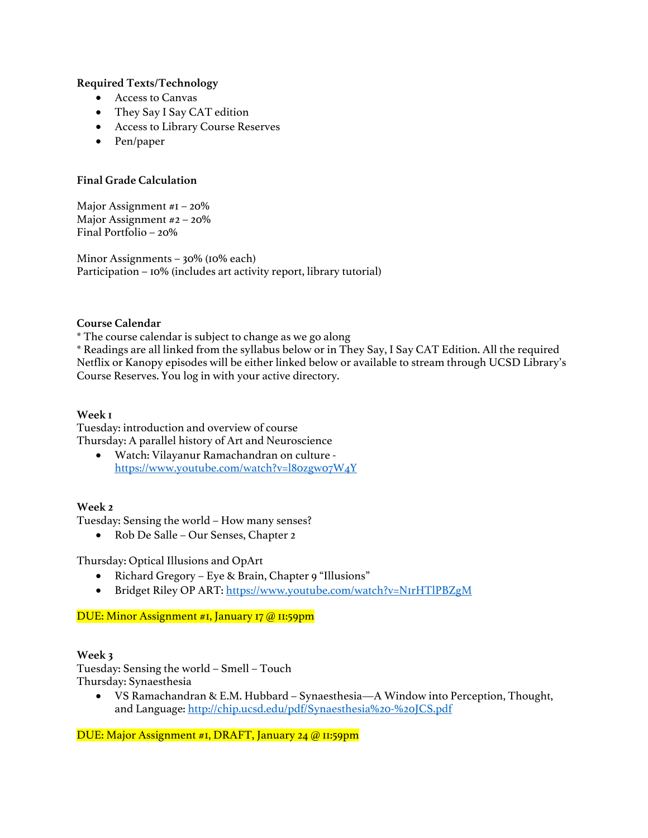## **Required Texts/Technology**

- Access to Canvas
- They Say I Say CAT edition
- Access to Library Course Reserves
- Pen/paper

## **Final Grade Calculation**

Major Assignment #1 – 20% Major Assignment #2 – 20% Final Portfolio – 20%

Minor Assignments – 30% (10% each) Participation – 10% (includes art activity report, library tutorial)

#### **Course Calendar**

\* The course calendar is subject to change as we go along

\* Readings are all linked from the syllabus below or in They Say, I Say CAT Edition. All the required Netflix or Kanopy episodes will be either linked below or available to stream through UCSD Library's Course Reserves. You log in with your active directory.

#### **Week 1**

Tuesday: introduction and overview of course Thursday: A parallel history of Art and Neuroscience

• Watch: Vilayanur Ramachandran on culture https://www.youtube.com/watch?v=l80zgw07W4Y

#### **Week 2**

Tuesday: Sensing the world – How many senses?

• Rob De Salle – Our Senses, Chapter 2

Thursday: Optical Illusions and OpArt

- Richard Gregory Eye & Brain, Chapter 9 "Illusions"
- Bridget Riley OP ART: https://www.youtube.com/watch?v=N1rHTlPBZgM

#### DUE: Minor Assignment #1, January 17 @ 11:59pm

#### **Week 3**

Tuesday: Sensing the world – Smell – Touch Thursday: Synaesthesia

• VS Ramachandran & E.M. Hubbard – Synaesthesia—A Window into Perception, Thought, and Language: http://chip.ucsd.edu/pdf/Synaesthesia%20-%20JCS.pdf

DUE: Major Assignment #1, DRAFT, January 24 @ 11:59pm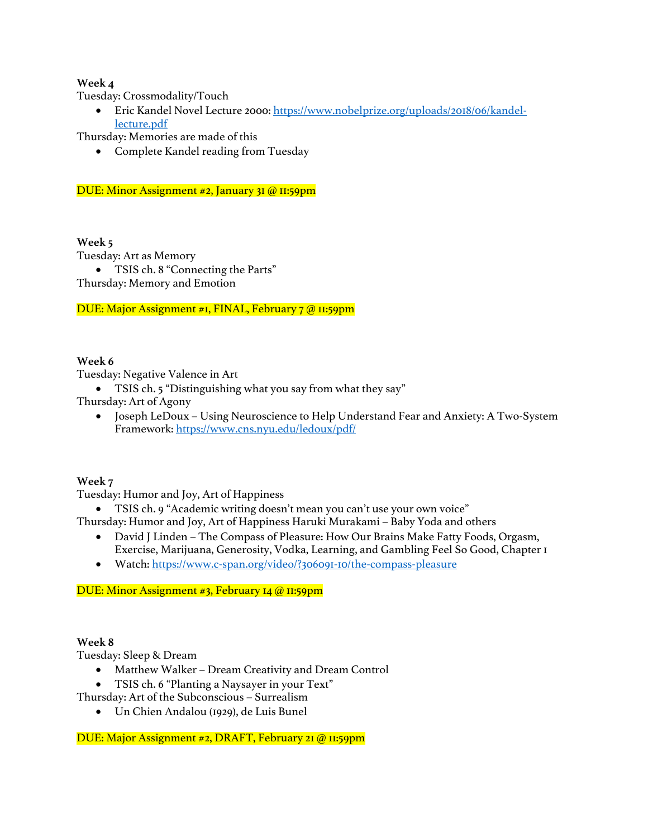# **Week 4**

Tuesday: Crossmodality/Touch

• Eric Kandel Novel Lecture 2000: https://www.nobelprize.org/uploads/2018/06/kandellecture.pdf

Thursday: Memories are made of this

• Complete Kandel reading from Tuesday

## DUE: Minor Assignment #2, January 31 @ 11:59pm

## **Week 5**

Tuesday: Art as Memory

• TSIS ch. 8 "Connecting the Parts"

Thursday: Memory and Emotion

DUE: Major Assignment #1, FINAL, February 7 @ 11:59pm

## **Week 6**

Tuesday: Negative Valence in Art

• TSIS ch. 5 "Distinguishing what you say from what they say"

Thursday: Art of Agony

• Joseph LeDoux – Using Neuroscience to Help Understand Fear and Anxiety: A Two-System Framework: https://www.cns.nyu.edu/ledoux/pdf/

# **Week 7**

Tuesday: Humor and Joy, Art of Happiness

• TSIS ch. 9 "Academic writing doesn't mean you can't use your own voice"

Thursday: Humor and Joy, Art of Happiness Haruki Murakami – Baby Yoda and others

- David J Linden The Compass of Pleasure: How Our Brains Make Fatty Foods, Orgasm, Exercise, Marijuana, Generosity, Vodka, Learning, and Gambling Feel So Good, Chapter 1
- Watch: https://www.c-span.org/video/?306091-10/the-compass-pleasure

# DUE: Minor Assignment #3, February 14 @ 11:59pm

#### **Week 8**

Tuesday: Sleep & Dream

- Matthew Walker Dream Creativity and Dream Control
- TSIS ch. 6 "Planting a Naysayer in your Text"
- Thursday: Art of the Subconscious Surrealism
	- Un Chien Andalou (1929), de Luis Bunel

DUE: Major Assignment #2, DRAFT, February 21 @ 11:59pm